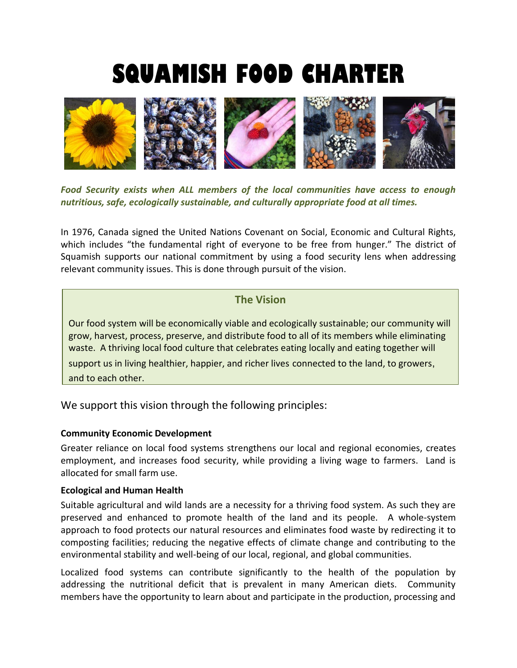# **SQUAMISH FOOD CHARTER**



*Food Security exists when ALL members of the local communities have access to enough nutritious, safe, ecologically sustainable, and culturally appropriate food at all times.* 

In 1976, Canada signed the United Nations Covenant on Social, Economic and Cultural Rights, which includes "the fundamental right of everyone to be free from hunger." The district of Squamish supports our national commitment by using a food security lens when addressing relevant community issues. This is done through pursuit of the vision.

## **The Vision**

Our food system will be economically viable and ecologically sustainable; our community will grow, harvest, process, preserve, and distribute food to all of its members while eliminating waste. A thriving local food culture that celebrates eating locally and eating together will

support us in living healthier, happier, and richer lives connected to the land, to growers, and to each other.

We support this vision through the following principles:

#### **Community Economic Development**

Greater reliance on local food systems strengthens our local and regional economies, creates employment, and increases food security, while providing a living wage to farmers. Land is allocated for small farm use.

#### **Ecological and Human Health**

Suitable agricultural and wild lands are a necessity for a thriving food system. As such they are preserved and enhanced to promote health of the land and its people. A whole-system approach to food protects our natural resources and eliminates food waste by redirecting it to composting facilities; reducing the negative effects of climate change and contributing to the environmental stability and well-being of our local, regional, and global communities.

Localized food systems can contribute significantly to the health of the population by addressing the nutritional deficit that is prevalent in many American diets. Community members have the opportunity to learn about and participate in the production, processing and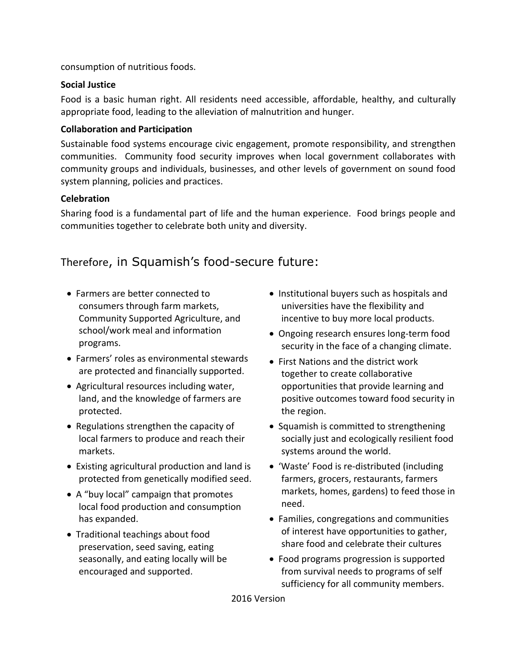consumption of nutritious foods.

#### **Social Justice**

Food is a basic human right. All residents need accessible, affordable, healthy, and culturally appropriate food, leading to the alleviation of malnutrition and hunger.

#### **Collaboration and Participation**

Sustainable food systems encourage civic engagement, promote responsibility, and strengthen communities. Community food security improves when local government collaborates with community groups and individuals, businesses, and other levels of government on sound food system planning, policies and practices.

#### **Celebration**

Sharing food is a fundamental part of life and the human experience. Food brings people and communities together to celebrate both unity and diversity.

# Therefore, in Squamish's food-secure future:

- Farmers are better connected to consumers through farm markets, Community Supported Agriculture, and school/work meal and information programs.
- Farmers' roles as environmental stewards are protected and financially supported.
- Agricultural resources including water, land, and the knowledge of farmers are protected.
- Regulations strengthen the capacity of local farmers to produce and reach their markets.
- Existing agricultural production and land is protected from genetically modified seed.
- A "buy local" campaign that promotes local food production and consumption has expanded.
- Traditional teachings about food preservation, seed saving, eating seasonally, and eating locally will be encouraged and supported.
- Institutional buyers such as hospitals and universities have the flexibility and incentive to buy more local products.
- Ongoing research ensures long-term food security in the face of a changing climate.
- First Nations and the district work together to create collaborative opportunities that provide learning and positive outcomes toward food security in the region.
- Squamish is committed to strengthening socially just and ecologically resilient food systems around the world.
- 'Waste' Food is re-distributed (including farmers, grocers, restaurants, farmers markets, homes, gardens) to feed those in need.
- Families, congregations and communities of interest have opportunities to gather, share food and celebrate their cultures
- Food programs progression is supported from survival needs to programs of self sufficiency for all community members.

2016 Version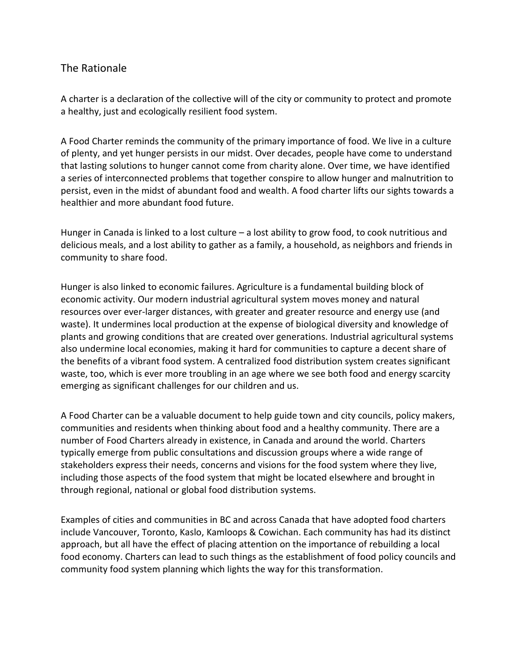## The Rationale

A charter is a declaration of the collective will of the city or community to protect and promote a healthy, just and ecologically resilient food system.

A Food Charter reminds the community of the primary importance of food. We live in a culture of plenty, and yet hunger persists in our midst. Over decades, people have come to understand that lasting solutions to hunger cannot come from charity alone. Over time, we have identified a series of interconnected problems that together conspire to allow hunger and malnutrition to persist, even in the midst of abundant food and wealth. A food charter lifts our sights towards a healthier and more abundant food future.

Hunger in Canada is linked to a lost culture – a lost ability to grow food, to cook nutritious and delicious meals, and a lost ability to gather as a family, a household, as neighbors and friends in community to share food.

Hunger is also linked to economic failures. Agriculture is a fundamental building block of economic activity. Our modern industrial agricultural system moves money and natural resources over ever-larger distances, with greater and greater resource and energy use (and waste). It undermines local production at the expense of biological diversity and knowledge of plants and growing conditions that are created over generations. Industrial agricultural systems also undermine local economies, making it hard for communities to capture a decent share of the benefits of a vibrant food system. A centralized food distribution system creates significant waste, too, which is ever more troubling in an age where we see both food and energy scarcity emerging as significant challenges for our children and us.

A Food Charter can be a valuable document to help guide town and city councils, policy makers, communities and residents when thinking about food and a healthy community. There are a number of Food Charters already in existence, in Canada and around the world. Charters typically emerge from public consultations and discussion groups where a wide range of stakeholders express their needs, concerns and visions for the food system where they live, including those aspects of the food system that might be located elsewhere and brought in through regional, national or global food distribution systems.

Examples of cities and communities in BC and across Canada that have adopted food charters include Vancouver, Toronto, Kaslo, Kamloops & Cowichan. Each community has had its distinct approach, but all have the effect of placing attention on the importance of rebuilding a local food economy. Charters can lead to such things as the establishment of food policy councils and community food system planning which lights the way for this transformation.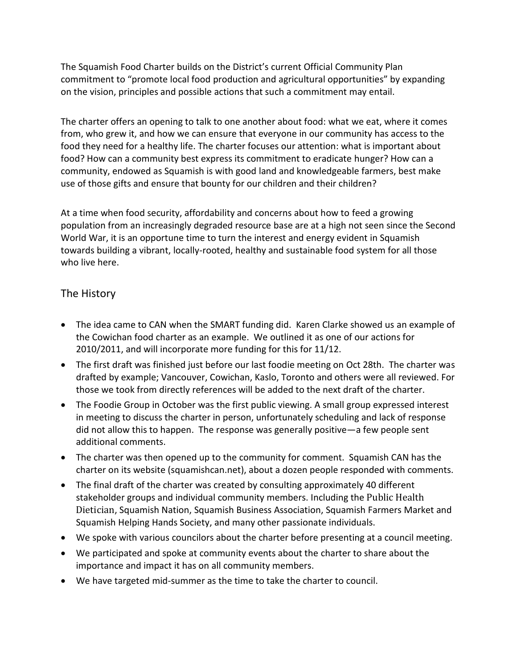The Squamish Food Charter builds on the District's current Official Community Plan commitment to "promote local food production and agricultural opportunities" by expanding on the vision, principles and possible actions that such a commitment may entail.

The charter offers an opening to talk to one another about food: what we eat, where it comes from, who grew it, and how we can ensure that everyone in our community has access to the food they need for a healthy life. The charter focuses our attention: what is important about food? How can a community best express its commitment to eradicate hunger? How can a community, endowed as Squamish is with good land and knowledgeable farmers, best make use of those gifts and ensure that bounty for our children and their children?

At a time when food security, affordability and concerns about how to feed a growing population from an increasingly degraded resource base are at a high not seen since the Second World War, it is an opportune time to turn the interest and energy evident in Squamish towards building a vibrant, locally-rooted, healthy and sustainable food system for all those who live here.

# The History

- The idea came to CAN when the SMART funding did. Karen Clarke showed us an example of the Cowichan food charter as an example. We outlined it as one of our actions for 2010/2011, and will incorporate more funding for this for 11/12.
- The first draft was finished just before our last foodie meeting on Oct 28th. The charter was drafted by example; Vancouver, Cowichan, Kaslo, Toronto and others were all reviewed. For those we took from directly references will be added to the next draft of the charter.
- The Foodie Group in October was the first public viewing. A small group expressed interest in meeting to discuss the charter in person, unfortunately scheduling and lack of response did not allow this to happen. The response was generally positive—a few people sent additional comments.
- The charter was then opened up to the community for comment. Squamish CAN has the charter on its website (squamishcan.net), about a dozen people responded with comments.
- The final draft of the charter was created by consulting approximately 40 different stakeholder groups and individual community members. Including the Public Health Dietician, Squamish Nation, Squamish Business Association, Squamish Farmers Market and Squamish Helping Hands Society, and many other passionate individuals.
- We spoke with various councilors about the charter before presenting at a council meeting.
- We participated and spoke at community events about the charter to share about the importance and impact it has on all community members.
- We have targeted mid-summer as the time to take the charter to council.